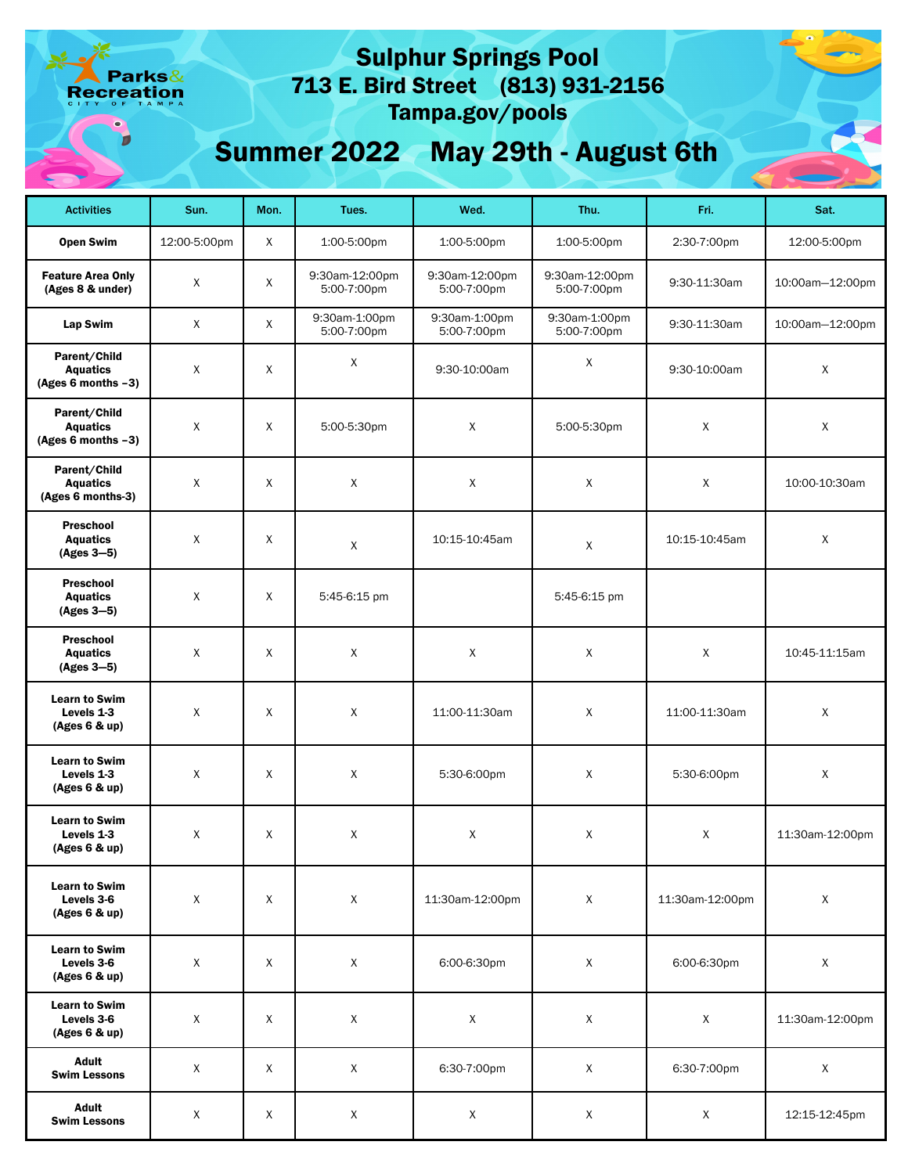arks& eation

# 713 E. Bird Street (813) 931-2156 Sulphur Springs Pool Tampa.gov/pools

Summer 2022 May 29th - August 6th

| <b>Activities</b>                                     | Sun.         | Mon. | Tues.                         | Wed.                          | Thu.                          | Fri.            | Sat.            |
|-------------------------------------------------------|--------------|------|-------------------------------|-------------------------------|-------------------------------|-----------------|-----------------|
| <b>Open Swim</b>                                      | 12:00-5:00pm | X    | 1:00-5:00pm                   | 1:00-5:00pm                   | 1:00-5:00pm                   | 2:30-7:00pm     | 12:00-5:00pm    |
| <b>Feature Area Only</b><br>(Ages 8 & under)          | X            | X    | 9:30am-12:00pm<br>5:00-7:00pm | 9:30am-12:00pm<br>5:00-7:00pm | 9:30am-12:00pm<br>5:00-7:00pm | 9:30-11:30am    | 10:00am-12:00pm |
| Lap Swim                                              | $\mathsf{X}$ | X    | 9:30am-1:00pm<br>5:00-7:00pm  | 9:30am-1:00pm<br>5:00-7:00pm  | 9:30am-1:00pm<br>5:00-7:00pm  | 9:30-11:30am    | 10:00am-12:00pm |
| Parent/Child<br><b>Aquatics</b><br>(Ages 6 months -3) | $\mathsf{X}$ | X    | X                             | 9:30-10:00am                  | X                             | 9:30-10:00am    | X               |
| Parent/Child<br><b>Aquatics</b><br>(Ages 6 months -3) | $\mathsf{X}$ | X    | 5:00-5:30pm                   | Χ                             | 5:00-5:30pm                   | X               | X               |
| Parent/Child<br><b>Aquatics</b><br>(Ages 6 months-3)  | $\mathsf{X}$ | X    | X                             | X                             | X                             | X               | 10:00-10:30am   |
| <b>Preschool</b><br><b>Aquatics</b><br>$(Ages 3-5)$   | X            | X    | X                             | 10:15-10:45am                 | X                             | 10:15-10:45am   | X               |
| Preschool<br><b>Aquatics</b><br>$(Ages 3-5)$          | $\mathsf{X}$ | X    | 5:45-6:15 pm                  |                               | 5:45-6:15 pm                  |                 |                 |
| <b>Preschool</b><br><b>Aquatics</b><br>$(Ages 3-5)$   | $\mathsf{X}$ | X    | X                             | X                             | X                             | X               | 10:45-11:15am   |
| <b>Learn to Swim</b><br>Levels 1-3<br>(Ages 6 & up)   | X            | X    | X                             | 11:00-11:30am                 | X                             | 11:00-11:30am   | $\mathsf X$     |
| <b>Learn to Swim</b><br>Levels 1-3<br>(Ages 6 & up)   | X            | X    | X                             | 5:30-6:00pm                   | X                             | 5:30-6:00pm     | X               |
| <b>Learn to Swim</b><br>Levels 1-3<br>(Ages 6 & up)   | X            | X    | X                             | X                             | X                             | X               | 11:30am-12:00pm |
| <b>Learn to Swim</b><br>Levels 3-6<br>(Ages 6 & up)   | X            | X    | X                             | 11:30am-12:00pm               | X                             | 11:30am-12:00pm | $\mathsf X$     |
| <b>Learn to Swim</b><br>Levels 3-6<br>(Ages 6 & up)   | X            | X    | X                             | 6:00-6:30pm                   | X                             | 6:00-6:30pm     | X               |
| <b>Learn to Swim</b><br>Levels 3-6<br>(Ages 6 & up)   | $\mathsf{X}$ | X    | X                             | $\mathsf{X}$                  | X                             | X               | 11:30am-12:00pm |
| <b>Adult</b><br><b>Swim Lessons</b>                   | X            | Χ    | X                             | 6:30-7:00pm                   | X                             | 6:30-7:00pm     | X               |
| <b>Adult</b><br><b>Swim Lessons</b>                   | X            | X    | X                             | X                             | X                             | X               | 12:15-12:45pm   |